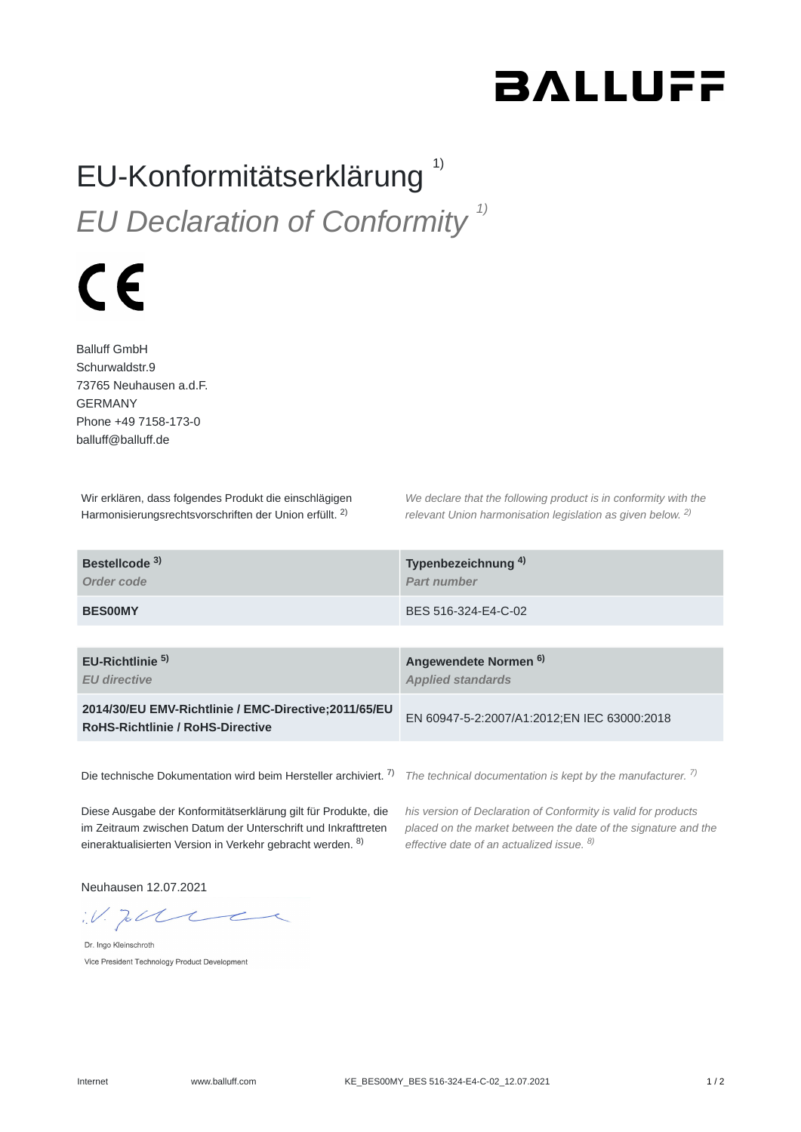## **BALLUFF**

## EU-Konformitätserklärung<sup>1)</sup> *EU Declaration of Conformity 1)*

## $\epsilon$

Balluff GmbH Schurwaldstr.9 73765 Neuhausen a.d.F. GERMANY Phone +49 7158-173-0 balluff@balluff.de

Wir erklären, dass folgendes Produkt die einschlägigen Harmonisierungsrechtsvorschriften der Union erfüllt. <sup>2)</sup>

*We declare that the following product is in conformity with the relevant Union harmonisation legislation as given below.* 2) *2)*

| Bestellcode <sup>3)</sup><br>Order code                                                          | Typenbezeichnung <sup>4)</sup><br>Part number                |
|--------------------------------------------------------------------------------------------------|--------------------------------------------------------------|
| <b>BES00MY</b>                                                                                   | BES 516-324-E4-C-02                                          |
|                                                                                                  |                                                              |
| $EU-Richtlinie5$<br><b>EU directive</b>                                                          | Angewendete Normen <sup>6)</sup><br><b>Applied standards</b> |
| 2014/30/EU EMV-Richtlinie / EMC-Directive: 2011/65/EU<br><b>RoHS-Richtlinie / RoHS-Directive</b> | EN 60947-5-2:2007/A1:2012;EN IEC 63000:2018                  |
|                                                                                                  |                                                              |

Die technische Dokumentation wird beim Hersteller archiviert. <sup>7)</sup> The technical documentation is kept by the manufacturer. <sup>7)</sup>

Diese Ausgabe der Konformitätserklärung gilt für Produkte, die im Zeitraum zwischen Datum der Unterschrift und Inkrafttreten eineraktualisierten Version in Verkehr gebracht werden. <sup>8)</sup>

*his version of Declaration of Conformity is valid for products placed on the market between the date of the signature and the effective date of an actualized issue. 8)*

Neuhausen 12.07.2021

 $W.$  To the

Dr. Ingo Kleinschroth Vice President Technology Product Development